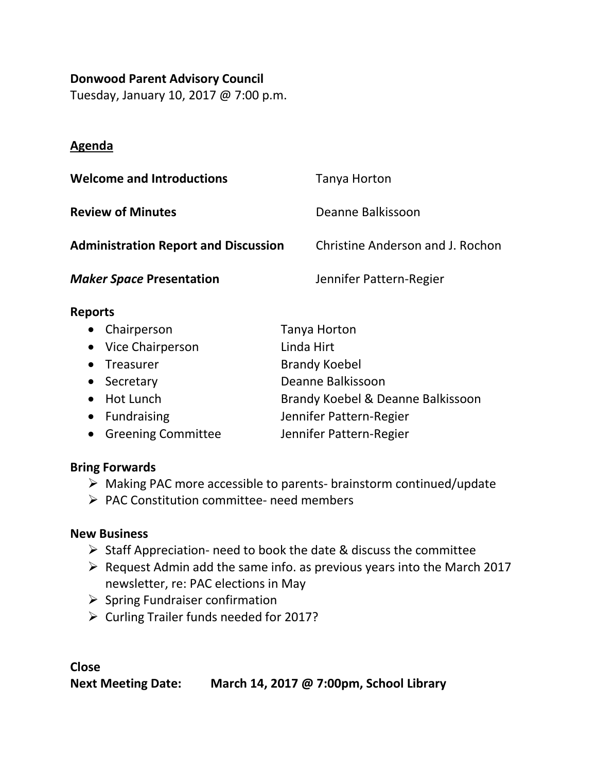## **Donwood Parent Advisory Council**

Tuesday, January 10, 2017 @ 7:00 p.m.

# **Agenda**

| <b>Welcome and Introductions</b>            | Tanya Horton                     |
|---------------------------------------------|----------------------------------|
| <b>Review of Minutes</b>                    | Deanne Balkissoon                |
| <b>Administration Report and Discussion</b> | Christine Anderson and J. Rochon |
| <b>Maker Space Presentation</b>             | Jennifer Pattern-Regier          |

## **Reports**

| • Chairperson        | Tanya Horton                      |
|----------------------|-----------------------------------|
| • Vice Chairperson   | Linda Hirt                        |
| • Treasurer          | <b>Brandy Koebel</b>              |
| • Secretary          | Deanne Balkissoon                 |
| • Hot Lunch          | Brandy Koebel & Deanne Balkissoon |
| • Fundraising        | Jennifer Pattern-Regier           |
| • Greening Committee | Jennifer Pattern-Regier           |

### **Bring Forwards**

- Making PAC more accessible to parents- brainstorm continued/update
- PAC Constitution committee- need members

# **New Business**

- $\triangleright$  Staff Appreciation- need to book the date & discuss the committee
- $\triangleright$  Request Admin add the same info. as previous years into the March 2017 newsletter, re: PAC elections in May
- $\triangleright$  Spring Fundraiser confirmation
- Curling Trailer funds needed for 2017?

**Close Next Meeting Date: March 14, 2017 @ 7:00pm, School Library**